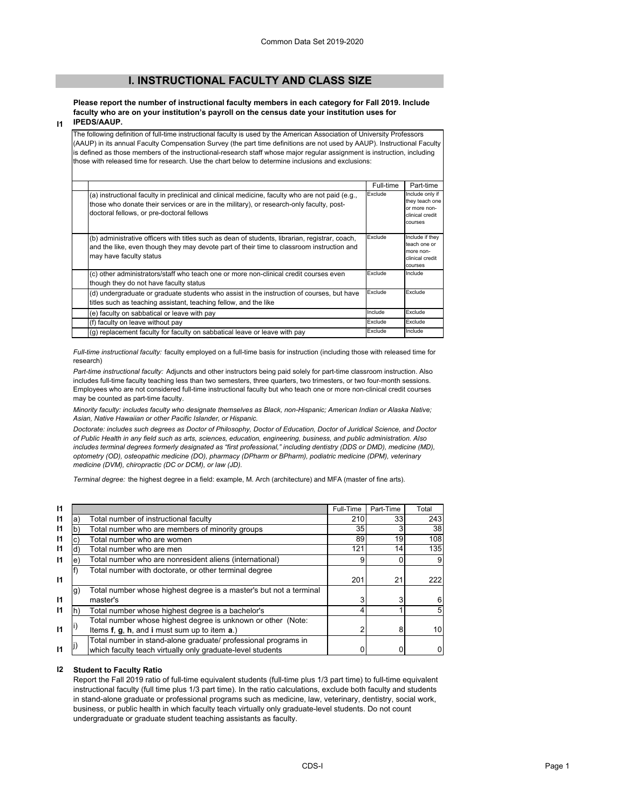# **I. INSTRUCTIONAL FACULTY AND CLASS SIZE**

**Please report the number of instructional faculty members in each category for Fall 2019. Include faculty who are on your institution's payroll on the census date your institution uses for IPEDS/AAUP.**

### **I1**

The following definition of full-time instructional faculty is used by the American Association of University Professors (AAUP) in its annual Faculty Compensation Survey (the part time definitions are not used by AAUP). Instructional Faculty is defined as those members of the instructional-research staff whose major regular assignment is instruction, including those with released time for research. Use the chart below to determine inclusions and exclusions:

|                                                                                                                                                                                                                                          | Full-time | Part-time                                                                       |
|------------------------------------------------------------------------------------------------------------------------------------------------------------------------------------------------------------------------------------------|-----------|---------------------------------------------------------------------------------|
| (a) instructional faculty in preclinical and clinical medicine, faculty who are not paid (e.g.,<br>those who donate their services or are in the military), or research-only faculty, post-<br>doctoral fellows, or pre-doctoral fellows | Exclude   | Include only if<br>they teach one<br>or more non-<br>clinical credit<br>courses |
| (b) administrative officers with titles such as dean of students, librarian, registrar, coach,<br>and the like, even though they may devote part of their time to classroom instruction and<br>may have faculty status                   | Exclude   | Include if they<br>teach one or<br>more non-<br>clinical credit<br>courses      |
| (c) other administrators/staff who teach one or more non-clinical credit courses even<br>though they do not have faculty status                                                                                                          | Exclude   | Include                                                                         |
| (d) undergraduate or graduate students who assist in the instruction of courses, but have<br>titles such as teaching assistant, teaching fellow, and the like                                                                            | Exclude   | Exclude                                                                         |
| (e) faculty on sabbatical or leave with pay                                                                                                                                                                                              | Include   | Exclude                                                                         |
| (f) faculty on leave without pay                                                                                                                                                                                                         | Exclude   | Exclude                                                                         |
| (g) replacement faculty for faculty on sabbatical leave or leave with pay                                                                                                                                                                | Exclude   | Include                                                                         |

*Full-time instructional faculty:* faculty employed on a full-time basis for instruction (including those with released time for research)

*Part-time instructional faculty:* Adjuncts and other instructors being paid solely for part-time classroom instruction. Also includes full-time faculty teaching less than two semesters, three quarters, two trimesters, or two four-month sessions. Employees who are not considered full-time instructional faculty but who teach one or more non-clinical credit courses may be counted as part-time faculty.

*Minority faculty: includes faculty who designate themselves as Black, non-Hispanic; American Indian or Alaska Native; Asian, Native Hawaiian or other Pacific Islander, or Hispanic.* 

*Doctorate: includes such degrees as Doctor of Philosophy, Doctor of Education, Doctor of Juridical Science, and Doctor of Public Health in any field such as arts, sciences, education, engineering, business, and public administration. Also includes terminal degrees formerly designated as "first professional," including dentistry (DDS or DMD), medicine (MD), optometry (OD), osteopathic medicine (DO), pharmacy (DPharm or BPharm), podiatric medicine (DPM), veterinary medicine (DVM), chiropractic (DC or DCM), or law (JD).*

*Terminal degree:* the highest degree in a field: example, M. Arch (architecture) and MFA (master of fine arts).

| -11          |     |                                                                    | Full-Time | Part-Time | Total |
|--------------|-----|--------------------------------------------------------------------|-----------|-----------|-------|
| $\mathsf{I}$ | la) | Total number of instructional faculty                              | 210       | 331       | 243   |
| $\mathsf{I}$ | b)  | Total number who are members of minority groups                    | 35        | 3         | 38    |
| $\mathsf{I}$ |     | Total number who are women                                         | 89        | 19        | 108   |
| $\mathsf{I}$ |     | Total number who are men                                           | 121       | 14        | 135   |
| $\mathbf{I}$ | e)  | Total number who are nonresident aliens (international)            | 9         | 0         |       |
|              |     | Total number with doctorate, or other terminal degree              |           |           |       |
| $\mathbf{I}$ |     |                                                                    | 201       | 21        | 222   |
|              | g)  | Total number whose highest degree is a master's but not a terminal |           |           |       |
| $\mathbf{I}$ |     | master's                                                           |           | 3         |       |
| $\mathsf{I}$ | Ih' | Total number whose highest degree is a bachelor's                  |           |           |       |
|              |     | Total number whose highest degree is unknown or other (Note:       |           |           |       |
| $\mathbf{I}$ |     | Items f, g, h, and i must sum up to item a.)                       |           | 8         | 10    |
|              |     | Total number in stand-alone graduate/ professional programs in     |           |           |       |
| $\mathbf{I}$ |     | which faculty teach virtually only graduate-level students         |           | 0         |       |

### **I2 Student to Faculty Ratio**

Report the Fall 2019 ratio of full-time equivalent students (full-time plus 1/3 part time) to full-time equivalent instructional faculty (full time plus 1/3 part time). In the ratio calculations, exclude both faculty and students in stand-alone graduate or professional programs such as medicine, law, veterinary, dentistry, social work, business, or public health in which faculty teach virtually only graduate-level students. Do not count undergraduate or graduate student teaching assistants as faculty.